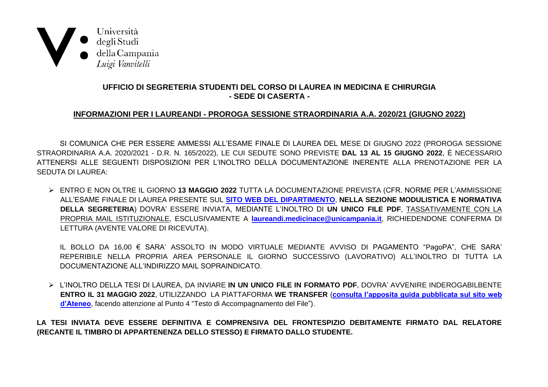

## UFFICIO DI SEGRETERIA STUDENTI DEL CORSO DI LAUREA IN MEDICINA E CHIRURGIA - SEDE DI CASERTA -

## INFORMAZIONI PER I LAUREANDI - PROROGA SESSIONE STRAORDINARIA A.A. 2020/21 (GIUGNO 2022)

SI COMUNICA CHE PER ESSERE AMMESSI ALL'ESAME FINALE DI LAUREA DEL MESE DI GIUGNO 2022 (PROROGA SESSIONE STRAORDINARIA A.A. 2020/2021 - D.R. N. 165/2022), LE CUI SEDUTE SONO PREVISTE DAL 13 AL 15 GIUGNO 2022, È NECESSARIO ATTENERSI ALLE SEGUENTI DISPOSIZIONI PER L'INOLTRO DELLA DOCUMENTAZIONE INERENTE ALLA PRENOTAZIONE PER LA **SEDUTA DI LAUREA:** 

> ENTRO E NON OLTRE IL GIORNO 13 MAGGIO 2022 TUTTA LA DOCUMENTAZIONE PREVISTA (CFR. NORME PER L'AMMISSIONE ALL'ESAME FINALE DI LAUREA PRESENTE SUL SITO WEB DEL DIPARTIMENTO, NELLA SEZIONE MODULISTICA E NORMATIVA DELLA SEGRETERIA) DOVRA' ESSERE INVIATA, MEDIANTE L'INOLTRO DI UN UNICO FILE PDF, TASSATIVAMENTE CON LA PROPRIA MAIL ISTITUZIONALE, ESCLUSIVAMENTE A laureandi.medicinace@unicampania.it, RICHIEDENDONE CONFERMA DI LETTURA (AVENTE VALORE DI RICEVUTA).

IL BOLLO DA 16,00 € SARA' ASSOLTO IN MODO VIRTUALE MEDIANTE AVVISO DI PAGAMENTO "PagoPA", CHE SARA' REPERIBILE NELLA PROPRIA AREA PERSONALE IL GIORNO SUCCESSIVO (LAVORATIVO) ALL'INOLTRO DI TUTTA LA DOCUMENTAZIONE ALL'INDIRIZZO MAIL SOPRAINDICATO.

> L'INOLTRO DELLA TESI DI LAUREA, DA INVIARE IN UN UNICO FILE IN FORMATO PDF, DOVRA' AVVENIRE INDEROGABILBENTE ENTRO IL 31 MAGGIO 2022, UTILIZZANDO LA PIATTAFORMA WE TRANSFER (consulta l'apposita quida pubblicata sul sito web d'Ateneo, facendo attenzione al Punto 4 "Testo di Accompagnamento del File").

LA TESI INVIATA DEVE ESSERE DEFINITIVA E COMPRENSIVA DEL FRONTESPIZIO DEBITAMENTE FIRMATO DAL RELATORE (RECANTE IL TIMBRO DI APPARTENENZA DELLO STESSO) E FIRMATO DALLO STUDENTE.